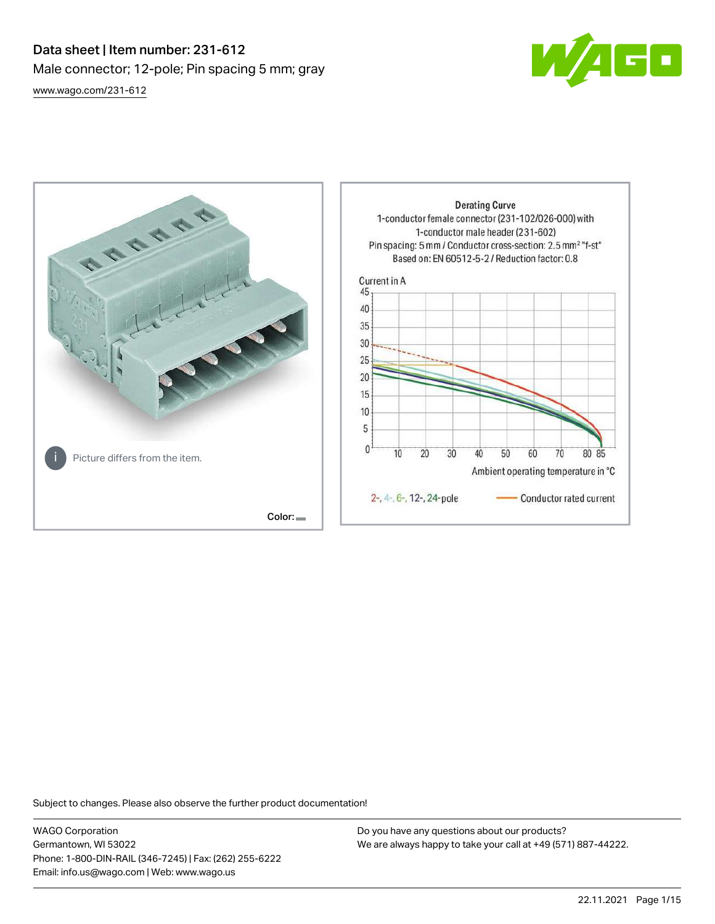## Data sheet | Item number: 231-612 Male connector; 12-pole; Pin spacing 5 mm; gray [www.wago.com/231-612](http://www.wago.com/231-612)





Subject to changes. Please also observe the further product documentation!

WAGO Corporation Germantown, WI 53022 Phone: 1-800-DIN-RAIL (346-7245) | Fax: (262) 255-6222 Email: info.us@wago.com | Web: www.wago.us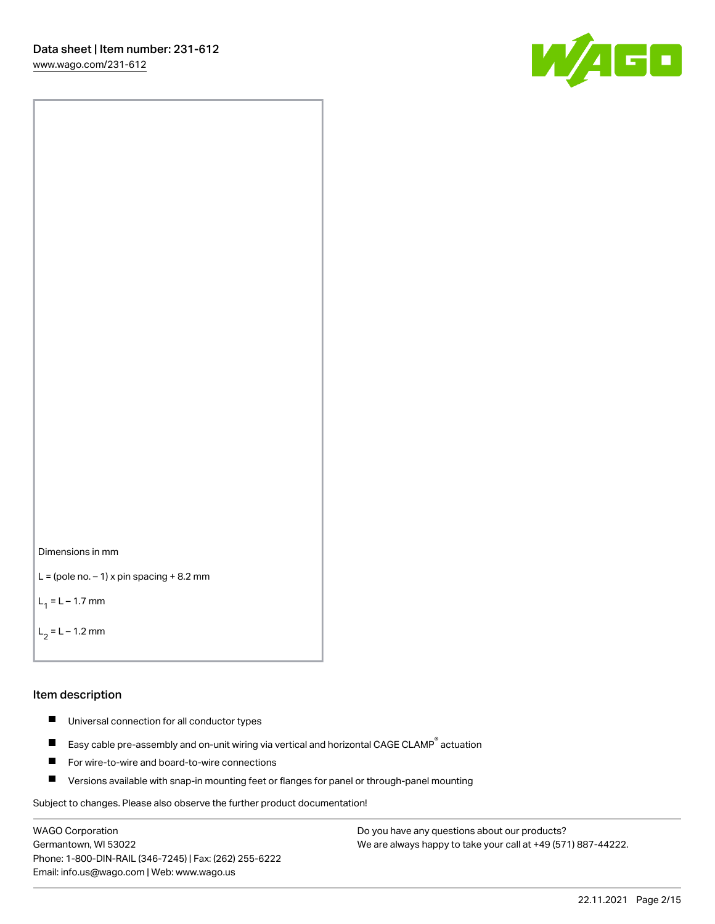[www.wago.com/231-612](http://www.wago.com/231-612)





```
L = (pole no. -1) x pin spacing +8.2 mm
```
 $L_1 = L - 1.7$  mm

```
L_2 = L - 1.2 mm
```
#### Item description

- $\blacksquare$ Universal connection for all conductor types
- Easy cable pre-assembly and on-unit wiring via vertical and horizontal CAGE CLAMP<sup>®</sup> actuation  $\blacksquare$
- П For wire-to-wire and board-to-wire connections
- $\blacksquare$ Versions available with snap-in mounting feet or flanges for panel or through-panel mounting

Subject to changes. Please also observe the further product documentation!

WAGO Corporation Germantown, WI 53022 Phone: 1-800-DIN-RAIL (346-7245) | Fax: (262) 255-6222 Email: info.us@wago.com | Web: www.wago.us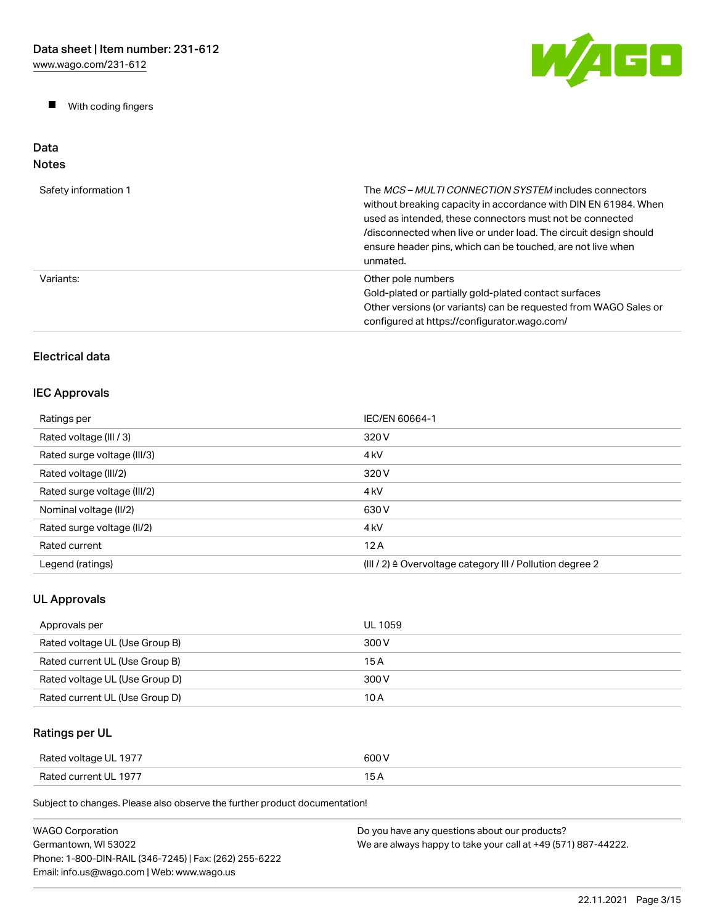$\blacksquare$ With coding fingers



#### Data Notes

| Safety information 1 | The <i>MCS – MULTI CONNECTION SYSTEM</i> includes connectors<br>without breaking capacity in accordance with DIN EN 61984. When<br>used as intended, these connectors must not be connected<br>/disconnected when live or under load. The circuit design should<br>ensure header pins, which can be touched, are not live when<br>unmated. |
|----------------------|--------------------------------------------------------------------------------------------------------------------------------------------------------------------------------------------------------------------------------------------------------------------------------------------------------------------------------------------|
| Variants:            | Other pole numbers<br>Gold-plated or partially gold-plated contact surfaces<br>Other versions (or variants) can be requested from WAGO Sales or<br>configured at https://configurator.wago.com/                                                                                                                                            |

## Electrical data

### IEC Approvals

| Ratings per                 | IEC/EN 60664-1                                                       |
|-----------------------------|----------------------------------------------------------------------|
| Rated voltage (III / 3)     | 320 V                                                                |
| Rated surge voltage (III/3) | 4 <sub>kV</sub>                                                      |
| Rated voltage (III/2)       | 320 V                                                                |
| Rated surge voltage (III/2) | 4 <sub>k</sub> V                                                     |
| Nominal voltage (II/2)      | 630 V                                                                |
| Rated surge voltage (II/2)  | 4 <sub>k</sub> V                                                     |
| Rated current               | 12A                                                                  |
| Legend (ratings)            | (III / 2) $\triangleq$ Overvoltage category III / Pollution degree 2 |

## UL Approvals

| Approvals per                  | UL 1059 |
|--------------------------------|---------|
| Rated voltage UL (Use Group B) | 300 V   |
| Rated current UL (Use Group B) | 15 A    |
| Rated voltage UL (Use Group D) | 300 V   |
| Rated current UL (Use Group D) | 10 A    |

## Ratings per UL

| Rated voltage UL 1977 | 600 V |
|-----------------------|-------|
| Rated current UL 1977 | .     |

| <b>WAGO Corporation</b>                                | Do you have any questions about our products?                 |
|--------------------------------------------------------|---------------------------------------------------------------|
| Germantown. WI 53022                                   | We are always happy to take your call at +49 (571) 887-44222. |
| Phone: 1-800-DIN-RAIL (346-7245)   Fax: (262) 255-6222 |                                                               |
| Email: info.us@wago.com   Web: www.wago.us             |                                                               |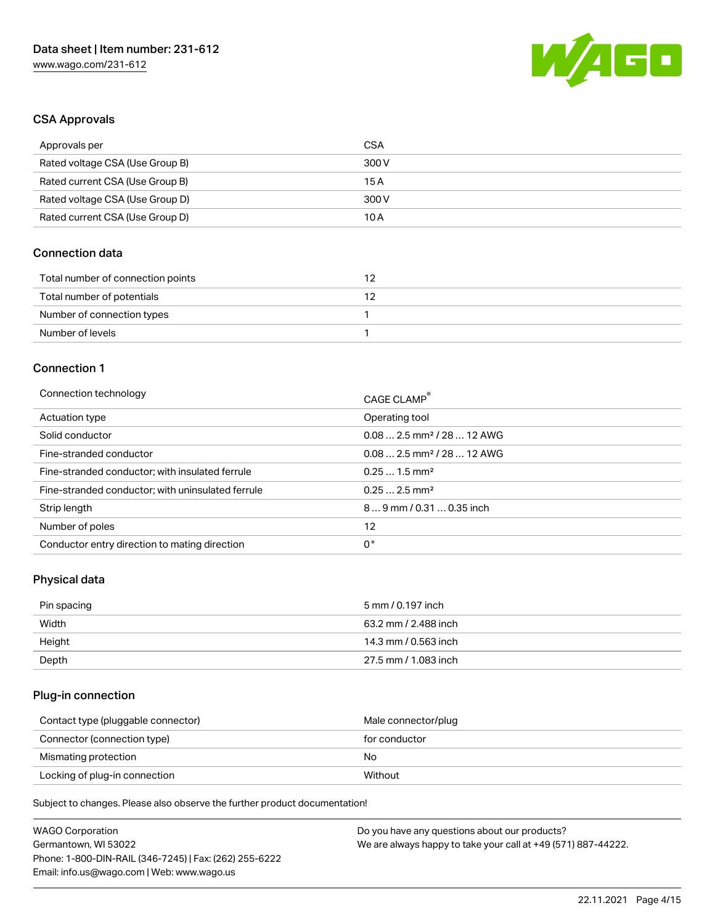

#### CSA Approvals

| Approvals per                   | CSA   |
|---------------------------------|-------|
| Rated voltage CSA (Use Group B) | 300 V |
| Rated current CSA (Use Group B) | 15 A  |
| Rated voltage CSA (Use Group D) | 300 V |
| Rated current CSA (Use Group D) | 10 A  |

#### Connection data

| Total number of connection points |  |
|-----------------------------------|--|
| Total number of potentials        |  |
| Number of connection types        |  |
| Number of levels                  |  |

#### Connection 1

| Connection technology                             | CAGE CLAMP®                            |
|---------------------------------------------------|----------------------------------------|
| Actuation type                                    | Operating tool                         |
| Solid conductor                                   | $0.082.5$ mm <sup>2</sup> / 28  12 AWG |
| Fine-stranded conductor                           | $0.082.5$ mm <sup>2</sup> / 28  12 AWG |
| Fine-stranded conductor; with insulated ferrule   | $0.251.5$ mm <sup>2</sup>              |
| Fine-stranded conductor; with uninsulated ferrule | $0.252.5$ mm <sup>2</sup>              |
| Strip length                                      | $89$ mm / 0.31  0.35 inch              |
| Number of poles                                   | 12                                     |
| Conductor entry direction to mating direction     | 0°                                     |
|                                                   |                                        |

## Physical data

| Pin spacing | 5 mm / 0.197 inch    |
|-------------|----------------------|
| Width       | 63.2 mm / 2.488 inch |
| Height      | 14.3 mm / 0.563 inch |
| Depth       | 27.5 mm / 1.083 inch |

## Plug-in connection

| Contact type (pluggable connector) | Male connector/plug |
|------------------------------------|---------------------|
| Connector (connection type)        | for conductor       |
| Mismating protection               | No                  |
| Locking of plug-in connection      | Without             |

| <b>WAGO Corporation</b>                                | Do you have any questions about our products?                 |
|--------------------------------------------------------|---------------------------------------------------------------|
| Germantown, WI 53022                                   | We are always happy to take your call at +49 (571) 887-44222. |
| Phone: 1-800-DIN-RAIL (346-7245)   Fax: (262) 255-6222 |                                                               |
| Email: info.us@wago.com   Web: www.wago.us             |                                                               |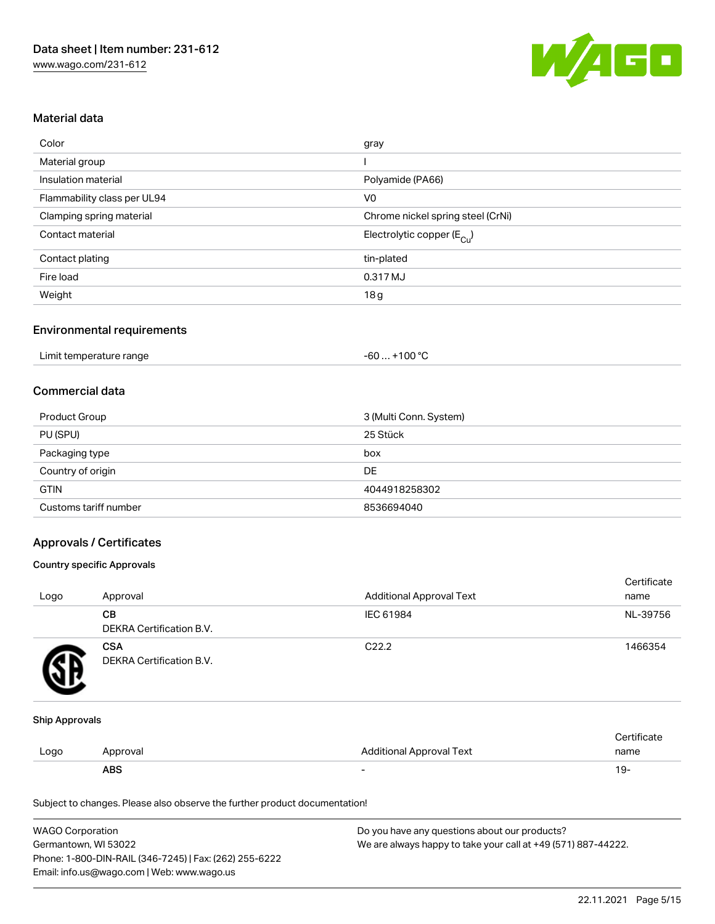

#### Material data

| Color                       | gray                                  |
|-----------------------------|---------------------------------------|
| Material group              |                                       |
| Insulation material         | Polyamide (PA66)                      |
| Flammability class per UL94 | V <sub>0</sub>                        |
| Clamping spring material    | Chrome nickel spring steel (CrNi)     |
| Contact material            | Electrolytic copper $(E_{\text{Cl}})$ |
| Contact plating             | tin-plated                            |
| Fire load                   | 0.317 MJ                              |
| Weight                      | 18 <sub>g</sub>                       |

#### Environmental requirements

| Limit temperature range | $. +100 °C$<br>-60 |
|-------------------------|--------------------|
|-------------------------|--------------------|

#### Commercial data

| <b>Product Group</b>  | 3 (Multi Conn. System) |
|-----------------------|------------------------|
| PU (SPU)              | 25 Stück               |
| Packaging type        | box                    |
| Country of origin     | <b>DE</b>              |
| <b>GTIN</b>           | 4044918258302          |
| Customs tariff number | 8536694040             |

#### Approvals / Certificates

#### Country specific Approvals

| Logo | Approval                               | <b>Additional Approval Text</b> | Certificate<br>name |
|------|----------------------------------------|---------------------------------|---------------------|
|      | CВ<br>DEKRA Certification B.V.         | IEC 61984                       | NL-39756            |
|      | <b>CSA</b><br>DEKRA Certification B.V. | C <sub>22.2</sub>               | 1466354             |

#### Ship Approvals

|      | <b>ABS</b> | -                               | 19.  |
|------|------------|---------------------------------|------|
| Logo | Approval   | <b>Additional Approval Text</b> | name |
|      |            |                                 |      |

| <b>WAGO Corporation</b>                                | Do you have any questions about our products?                 |
|--------------------------------------------------------|---------------------------------------------------------------|
| Germantown, WI 53022                                   | We are always happy to take your call at +49 (571) 887-44222. |
| Phone: 1-800-DIN-RAIL (346-7245)   Fax: (262) 255-6222 |                                                               |
| Email: info.us@wago.com   Web: www.wago.us             |                                                               |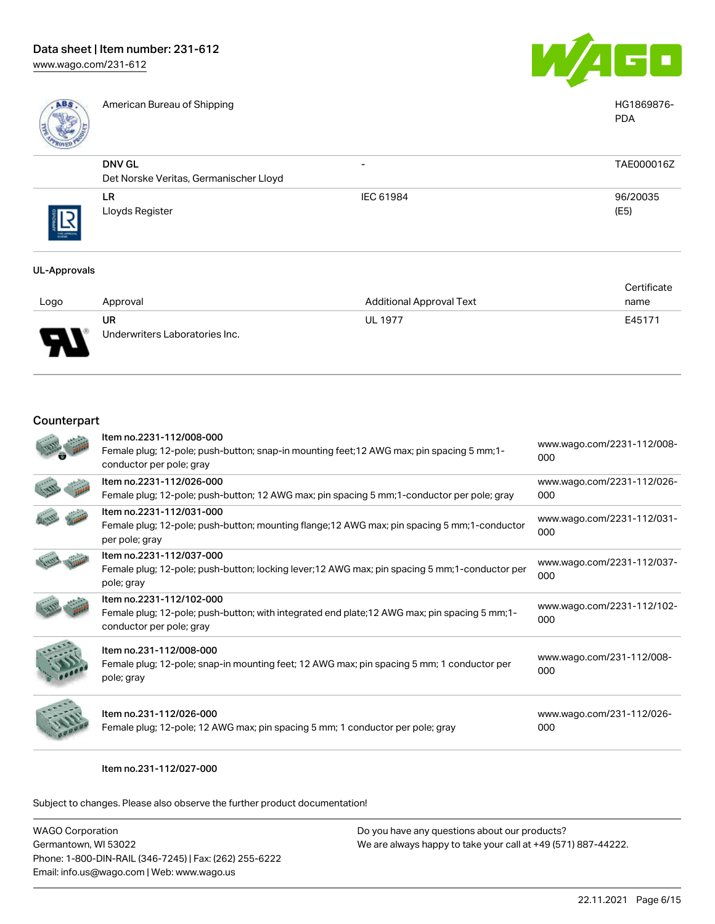

American Bureau of Shipping **HG1869876-** American Bureau of Shipping **HG1869876-**



|            |                                                         |                          | <b>PDA</b>       |
|------------|---------------------------------------------------------|--------------------------|------------------|
|            | <b>DNV GL</b><br>Det Norske Veritas, Germanischer Lloyd | $\overline{\phantom{a}}$ | TAE000016Z       |
| THE APPROV | <b>LR</b><br>Lloyds Register                            | IEC 61984                | 96/20035<br>(E5) |

#### UL-Approvals

|         |                                |                                 | Certificate |
|---------|--------------------------------|---------------------------------|-------------|
| Logo    | Approval                       | <b>Additional Approval Text</b> | name        |
|         | <b>UR</b>                      | <b>UL 1977</b>                  | E45171      |
| J<br>┱┶ | Underwriters Laboratories Inc. |                                 |             |

#### Counterpart

| Item no.2231-112/008-000<br>Female plug; 12-pole; push-button; snap-in mounting feet; 12 AWG max; pin spacing 5 mm; 1-<br>conductor per pole; gray     | www.wago.com/2231-112/008-<br>000 |
|--------------------------------------------------------------------------------------------------------------------------------------------------------|-----------------------------------|
| Item no.2231-112/026-000<br>Female plug; 12-pole; push-button; 12 AWG max; pin spacing 5 mm; 1-conductor per pole; gray                                | www.wago.com/2231-112/026-<br>000 |
| Item no.2231-112/031-000<br>Female plug; 12-pole; push-button; mounting flange; 12 AWG max; pin spacing 5 mm; 1-conductor<br>per pole; gray            | www.wago.com/2231-112/031-<br>000 |
| Item no.2231-112/037-000<br>Female plug; 12-pole; push-button; locking lever;12 AWG max; pin spacing 5 mm;1-conductor per<br>pole; gray                | www.wago.com/2231-112/037-<br>000 |
| Item no.2231-112/102-000<br>Female plug; 12-pole; push-button; with integrated end plate; 12 AWG max; pin spacing 5 mm; 1-<br>conductor per pole; gray | www.wago.com/2231-112/102-<br>000 |
| Item no.231-112/008-000<br>Female plug; 12-pole; snap-in mounting feet; 12 AWG max; pin spacing 5 mm; 1 conductor per<br>pole; gray                    | www.wago.com/231-112/008-<br>000  |
| Item no.231-112/026-000<br>Female plug; 12-pole; 12 AWG max; pin spacing 5 mm; 1 conductor per pole; gray                                              | www.wago.com/231-112/026-<br>000  |

Item no.231-112/027-000

| WAGO Corporation                                       | Do you have any questions about our products?                 |
|--------------------------------------------------------|---------------------------------------------------------------|
| Germantown, WI 53022                                   | We are always happy to take your call at +49 (571) 887-44222. |
| Phone: 1-800-DIN-RAIL (346-7245)   Fax: (262) 255-6222 |                                                               |
| Email: info.us@wago.com   Web: www.wago.us             |                                                               |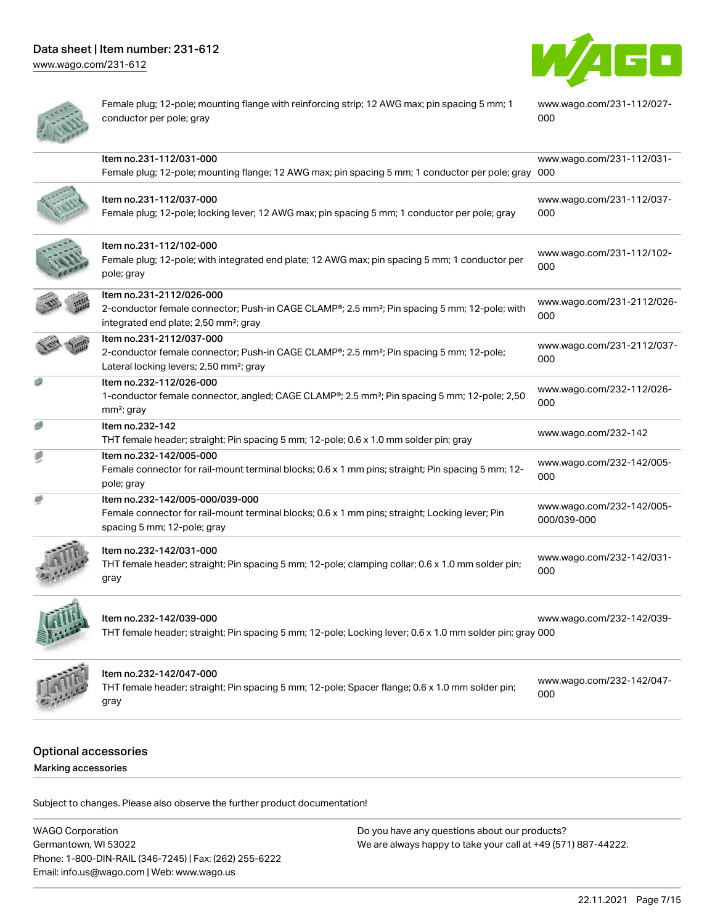[www.wago.com/231-612](http://www.wago.com/231-612)



Female plug; 12-pole; mounting flange with reinforcing strip; 12 AWG max; pin spacing 5 mm; 1 conductor per pole; gray

[www.wago.com/231-112/027-](https://www.wago.com/231-112/027-000) [000](https://www.wago.com/231-112/027-000)

|   | Item no.231-112/031-000<br>Female plug; 12-pole; mounting flange; 12 AWG max; pin spacing 5 mm; 1 conductor per pole; gray 000                                                            | www.wago.com/231-112/031-                |
|---|-------------------------------------------------------------------------------------------------------------------------------------------------------------------------------------------|------------------------------------------|
|   | Item no.231-112/037-000<br>Female plug; 12-pole; locking lever; 12 AWG max; pin spacing 5 mm; 1 conductor per pole; gray                                                                  | www.wago.com/231-112/037-<br>000         |
|   | Item no.231-112/102-000<br>Female plug; 12-pole; with integrated end plate; 12 AWG max; pin spacing 5 mm; 1 conductor per<br>pole; gray                                                   | www.wago.com/231-112/102-<br>000         |
|   | Item no.231-2112/026-000<br>2-conductor female connector; Push-in CAGE CLAMP®; 2.5 mm <sup>2</sup> ; Pin spacing 5 mm; 12-pole; with<br>integrated end plate; 2,50 mm <sup>2</sup> ; gray | www.wago.com/231-2112/026-<br>000        |
|   | Item no.231-2112/037-000<br>2-conductor female connector; Push-in CAGE CLAMP®; 2.5 mm <sup>2</sup> ; Pin spacing 5 mm; 12-pole;<br>Lateral locking levers; 2,50 mm <sup>2</sup> ; gray    | www.wago.com/231-2112/037-<br>000        |
|   | Item no.232-112/026-000<br>1-conductor female connector, angled; CAGE CLAMP®; 2.5 mm <sup>2</sup> ; Pin spacing 5 mm; 12-pole; 2,50<br>$mm2$ ; gray                                       | www.wago.com/232-112/026-<br>000         |
|   | Item no.232-142<br>THT female header; straight; Pin spacing 5 mm; 12-pole; 0.6 x 1.0 mm solder pin; gray                                                                                  | www.wago.com/232-142                     |
| 週 | Item no.232-142/005-000<br>Female connector for rail-mount terminal blocks; 0.6 x 1 mm pins; straight; Pin spacing 5 mm; 12-<br>pole; gray                                                | www.wago.com/232-142/005-<br>000         |
| 礎 | Item no.232-142/005-000/039-000<br>Female connector for rail-mount terminal blocks; 0.6 x 1 mm pins; straight; Locking lever; Pin<br>spacing 5 mm; 12-pole; gray                          | www.wago.com/232-142/005-<br>000/039-000 |
|   | Item no.232-142/031-000<br>THT female header; straight; Pin spacing 5 mm; 12-pole; clamping collar; 0.6 x 1.0 mm solder pin;<br>gray                                                      | www.wago.com/232-142/031-<br>000         |
|   | Item no.232-142/039-000<br>THT female header; straight; Pin spacing 5 mm; 12-pole; Locking lever; 0.6 x 1.0 mm solder pin; gray 000                                                       | www.wago.com/232-142/039-                |
|   | Item no.232-142/047-000<br>THT female header; straight; Pin spacing 5 mm; 12-pole; Spacer flange; 0.6 x 1.0 mm solder pin;<br>gray                                                        | www.wago.com/232-142/047-<br>000         |
|   |                                                                                                                                                                                           |                                          |

# Optional accessories

Marking accessories

Subject to changes. Please also observe the further product documentation!

WAGO Corporation Germantown, WI 53022 Phone: 1-800-DIN-RAIL (346-7245) | Fax: (262) 255-6222 Email: info.us@wago.com | Web: www.wago.us Do you have any questions about our products? We are always happy to take your call at +49 (571) 887-44222.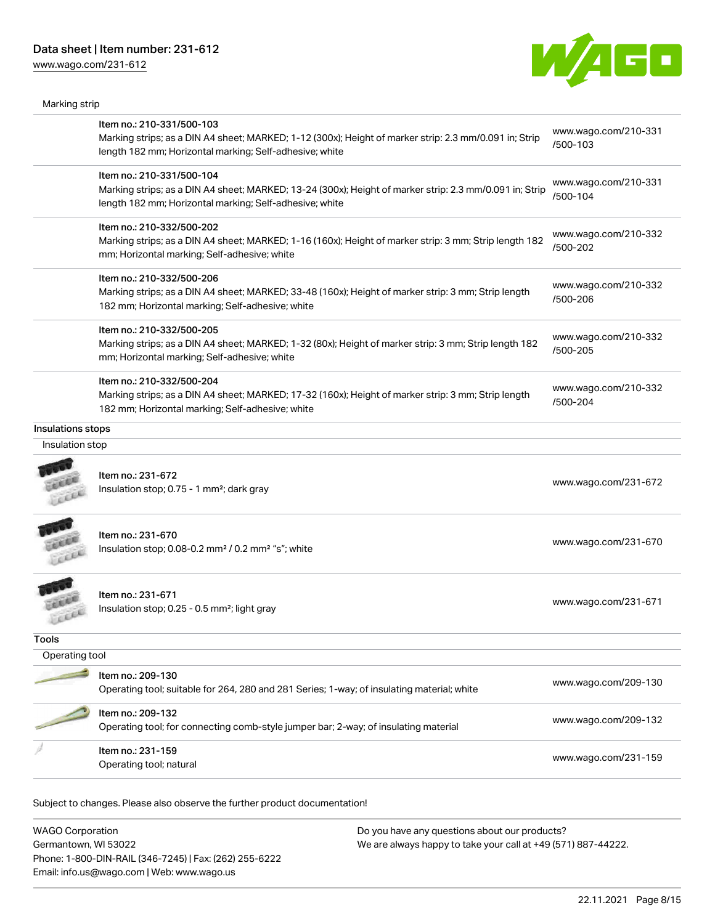[www.wago.com/231-612](http://www.wago.com/231-612)

Marking strip



|                   | Item no.: 210-331/500-103<br>Marking strips; as a DIN A4 sheet; MARKED; 1-12 (300x); Height of marker strip: 2.3 mm/0.091 in; Strip<br>length 182 mm; Horizontal marking; Self-adhesive; white  | www.wago.com/210-331<br>/500-103 |
|-------------------|-------------------------------------------------------------------------------------------------------------------------------------------------------------------------------------------------|----------------------------------|
|                   | Item no.: 210-331/500-104<br>Marking strips; as a DIN A4 sheet; MARKED; 13-24 (300x); Height of marker strip: 2.3 mm/0.091 in; Strip<br>length 182 mm; Horizontal marking; Self-adhesive; white | www.wago.com/210-331<br>/500-104 |
|                   | Item no.: 210-332/500-202<br>Marking strips; as a DIN A4 sheet; MARKED; 1-16 (160x); Height of marker strip: 3 mm; Strip length 182<br>mm; Horizontal marking; Self-adhesive; white             | www.wago.com/210-332<br>/500-202 |
|                   | Item no.: 210-332/500-206<br>Marking strips; as a DIN A4 sheet; MARKED; 33-48 (160x); Height of marker strip: 3 mm; Strip length<br>182 mm; Horizontal marking; Self-adhesive; white            | www.wago.com/210-332<br>/500-206 |
|                   | Item no.: 210-332/500-205<br>Marking strips; as a DIN A4 sheet; MARKED; 1-32 (80x); Height of marker strip: 3 mm; Strip length 182<br>mm; Horizontal marking; Self-adhesive; white              | www.wago.com/210-332<br>/500-205 |
|                   | Item no.: 210-332/500-204<br>Marking strips; as a DIN A4 sheet; MARKED; 17-32 (160x); Height of marker strip: 3 mm; Strip length<br>182 mm; Horizontal marking; Self-adhesive; white            | www.wago.com/210-332<br>/500-204 |
| Insulations stops |                                                                                                                                                                                                 |                                  |
| Insulation stop   |                                                                                                                                                                                                 |                                  |
|                   | Item no.: 231-672<br>Insulation stop; 0.75 - 1 mm <sup>2</sup> ; dark gray                                                                                                                      | www.wago.com/231-672             |
| Lice              | Item no.: 231-670<br>Insulation stop; 0.08-0.2 mm <sup>2</sup> / 0.2 mm <sup>2</sup> "s"; white                                                                                                 | www.wago.com/231-670             |
|                   | Item no.: 231-671<br>Insulation stop; 0.25 - 0.5 mm <sup>2</sup> ; light gray                                                                                                                   | www.wago.com/231-671             |
| Tools             |                                                                                                                                                                                                 |                                  |
| Operating tool    |                                                                                                                                                                                                 |                                  |
|                   | Item no.: 209-130<br>Operating tool; suitable for 264, 280 and 281 Series; 1-way; of insulating material; white                                                                                 | www.wago.com/209-130             |
|                   | Item no.: 209-132<br>Operating tool; for connecting comb-style jumper bar; 2-way; of insulating material                                                                                        | www.wago.com/209-132             |
|                   | Item no.: 231-159<br>Operating tool; natural                                                                                                                                                    | www.wago.com/231-159             |
|                   |                                                                                                                                                                                                 |                                  |

Subject to changes. Please also observe the further product documentation!

WAGO Corporation Germantown, WI 53022 Phone: 1-800-DIN-RAIL (346-7245) | Fax: (262) 255-6222 Email: info.us@wago.com | Web: www.wago.us Do you have any questions about our products? We are always happy to take your call at +49 (571) 887-44222.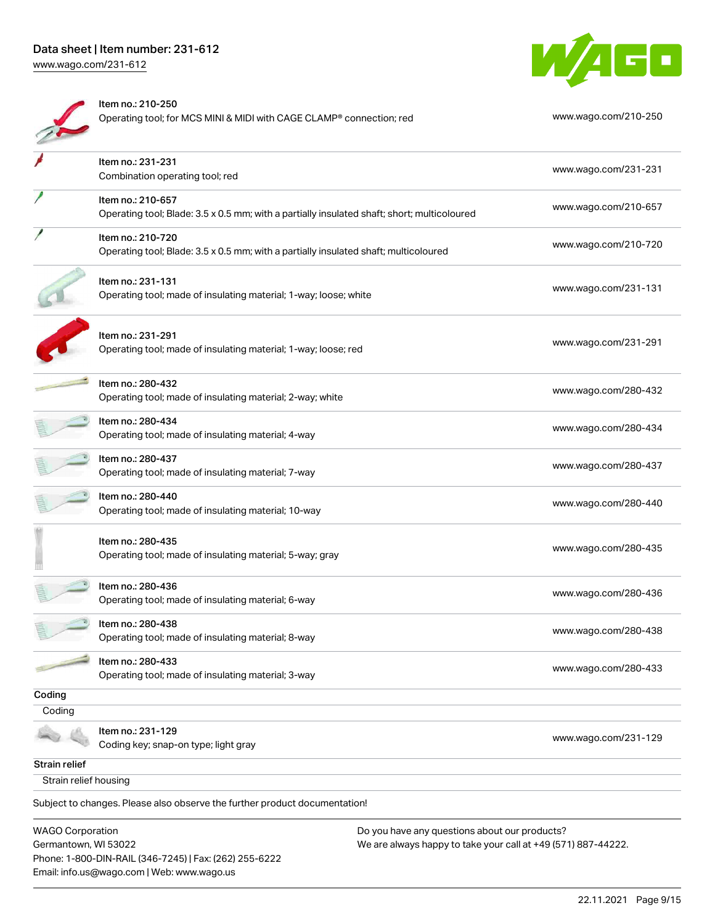## Data sheet | Item number: 231-612 [www.wago.com/231-612](http://www.wago.com/231-612)

WAEL

|                                                 | Item no.: 210-250<br>Operating tool; for MCS MINI & MIDI with CAGE CLAMP® connection; red                        |                                                                                                                | www.wago.com/210-250 |
|-------------------------------------------------|------------------------------------------------------------------------------------------------------------------|----------------------------------------------------------------------------------------------------------------|----------------------|
|                                                 | Item no.: 231-231<br>Combination operating tool; red                                                             |                                                                                                                | www.wago.com/231-231 |
|                                                 | Item no.: 210-657<br>Operating tool; Blade: 3.5 x 0.5 mm; with a partially insulated shaft; short; multicoloured |                                                                                                                | www.wago.com/210-657 |
|                                                 | Item no.: 210-720<br>Operating tool; Blade: 3.5 x 0.5 mm; with a partially insulated shaft; multicoloured        |                                                                                                                | www.wago.com/210-720 |
|                                                 | Item no.: 231-131<br>Operating tool; made of insulating material; 1-way; loose; white                            |                                                                                                                | www.wago.com/231-131 |
|                                                 | Item no.: 231-291<br>Operating tool; made of insulating material; 1-way; loose; red                              |                                                                                                                | www.wago.com/231-291 |
|                                                 | Item no.: 280-432<br>Operating tool; made of insulating material; 2-way; white                                   |                                                                                                                | www.wago.com/280-432 |
|                                                 | Item no.: 280-434<br>Operating tool; made of insulating material; 4-way                                          |                                                                                                                | www.wago.com/280-434 |
|                                                 | Item no.: 280-437<br>Operating tool; made of insulating material; 7-way                                          |                                                                                                                | www.wago.com/280-437 |
|                                                 | Item no.: 280-440<br>Operating tool; made of insulating material; 10-way                                         |                                                                                                                | www.wago.com/280-440 |
|                                                 | Item no.: 280-435<br>Operating tool; made of insulating material; 5-way; gray                                    |                                                                                                                | www.wago.com/280-435 |
|                                                 | Item no.: 280-436<br>Operating tool; made of insulating material; 6-way                                          |                                                                                                                | www.wago.com/280-436 |
|                                                 | Item no.: 280-438<br>Operating tool; made of insulating material; 8-way                                          |                                                                                                                | www.wago.com/280-438 |
|                                                 | Item no.: 280-433<br>Operating tool; made of insulating material; 3-way                                          |                                                                                                                | www.wago.com/280-433 |
| Coding                                          |                                                                                                                  |                                                                                                                |                      |
| Coding                                          |                                                                                                                  |                                                                                                                |                      |
|                                                 | Item no.: 231-129<br>Coding key; snap-on type; light gray                                                        |                                                                                                                | www.wago.com/231-129 |
| <b>Strain relief</b>                            |                                                                                                                  |                                                                                                                |                      |
| Strain relief housing                           |                                                                                                                  |                                                                                                                |                      |
|                                                 | Subject to changes. Please also observe the further product documentation!                                       |                                                                                                                |                      |
| <b>WAGO Corporation</b><br>Germantown, WI 53022 | Phone: 1-800-DIN-RAIL (346-7245)   Fax: (262) 255-6222<br>Email: info.us@wago.com   Web: www.wago.us             | Do you have any questions about our products?<br>We are always happy to take your call at +49 (571) 887-44222. |                      |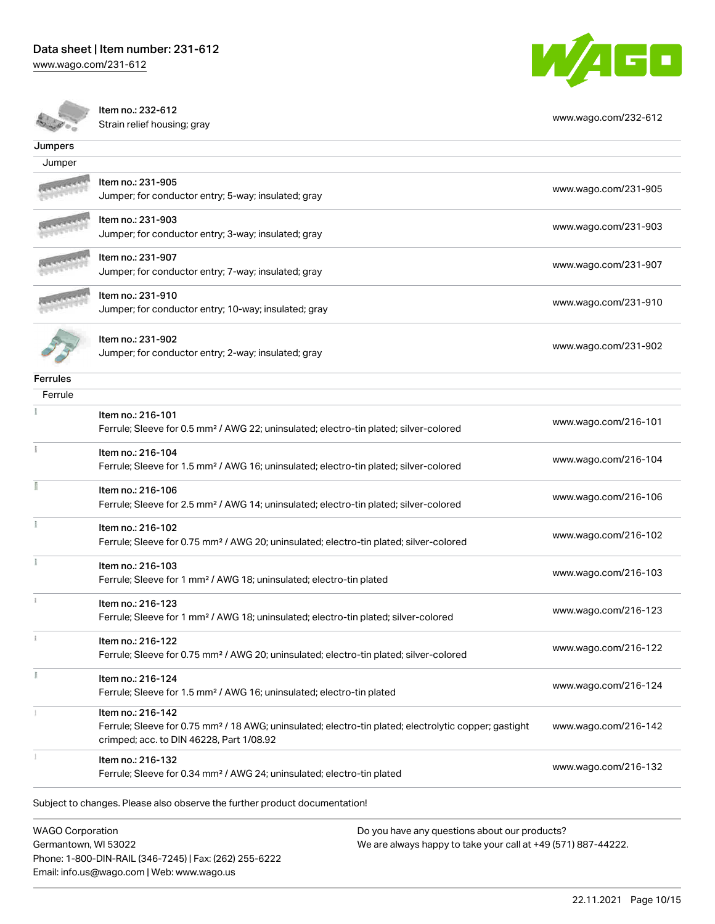[www.wago.com/231-612](http://www.wago.com/231-612)



Item no.: 232-612

nem no.. 232-612<br>Strain relief housing; gray [www.wago.com/232-612](http://www.wago.com/232-612)

| Jumpers                                                                  |                                                                                                                                                                                    |                      |
|--------------------------------------------------------------------------|------------------------------------------------------------------------------------------------------------------------------------------------------------------------------------|----------------------|
| Jumper                                                                   |                                                                                                                                                                                    |                      |
|                                                                          | Item no.: 231-905<br>Jumper; for conductor entry; 5-way; insulated; gray                                                                                                           | www.wago.com/231-905 |
|                                                                          | Item no.: 231-903<br>Jumper; for conductor entry; 3-way; insulated; gray                                                                                                           | www.wago.com/231-903 |
|                                                                          | Item no.: 231-907<br>Jumper; for conductor entry; 7-way; insulated; gray                                                                                                           | www.wago.com/231-907 |
|                                                                          | Item no.: 231-910<br>Jumper; for conductor entry; 10-way; insulated; gray                                                                                                          | www.wago.com/231-910 |
|                                                                          | Item no.: 231-902<br>Jumper; for conductor entry; 2-way; insulated; gray                                                                                                           | www.wago.com/231-902 |
| <b>Ferrules</b>                                                          |                                                                                                                                                                                    |                      |
| Ferrule                                                                  |                                                                                                                                                                                    |                      |
|                                                                          | Item no.: 216-101<br>Ferrule; Sleeve for 0.5 mm <sup>2</sup> / AWG 22; uninsulated; electro-tin plated; silver-colored                                                             | www.wago.com/216-101 |
|                                                                          | Item no.: 216-104<br>Ferrule; Sleeve for 1.5 mm <sup>2</sup> / AWG 16; uninsulated; electro-tin plated; silver-colored                                                             | www.wago.com/216-104 |
|                                                                          | Item no.: 216-106<br>Ferrule; Sleeve for 2.5 mm <sup>2</sup> / AWG 14; uninsulated; electro-tin plated; silver-colored                                                             | www.wago.com/216-106 |
|                                                                          | Item no.: 216-102<br>Ferrule; Sleeve for 0.75 mm <sup>2</sup> / AWG 20; uninsulated; electro-tin plated; silver-colored                                                            | www.wago.com/216-102 |
|                                                                          | Item no.: 216-103<br>Ferrule; Sleeve for 1 mm <sup>2</sup> / AWG 18; uninsulated; electro-tin plated                                                                               | www.wago.com/216-103 |
|                                                                          | Item no.: 216-123<br>Ferrule; Sleeve for 1 mm <sup>2</sup> / AWG 18; uninsulated; electro-tin plated; silver-colored                                                               | www.wago.com/216-123 |
|                                                                          | Item no.: 216-122<br>Ferrule; Sleeve for 0.75 mm <sup>2</sup> / AWG 20; uninsulated; electro-tin plated; silver-colored                                                            | www.wago.com/216-122 |
|                                                                          | Item no.: 216-124<br>Ferrule; Sleeve for 1.5 mm <sup>2</sup> / AWG 16; uninsulated; electro-tin plated                                                                             | www.wago.com/216-124 |
|                                                                          | Item no.: 216-142<br>Ferrule; Sleeve for 0.75 mm <sup>2</sup> / 18 AWG; uninsulated; electro-tin plated; electrolytic copper; gastight<br>crimped; acc. to DIN 46228, Part 1/08.92 | www.wago.com/216-142 |
|                                                                          | Item no.: 216-132<br>Ferrule; Sleeve for 0.34 mm <sup>2</sup> / AWG 24; uninsulated; electro-tin plated                                                                            | www.wago.com/216-132 |
|                                                                          | Subject to changes. Please also observe the further product documentation!                                                                                                         |                      |
| <b>WAGO Corporation</b><br>Do you have any questions about our products? |                                                                                                                                                                                    |                      |

WAGO Corporation Germantown, WI 53022 Phone: 1-800-DIN-RAIL (346-7245) | Fax: (262) 255-6222 Email: info.us@wago.com | Web: www.wago.us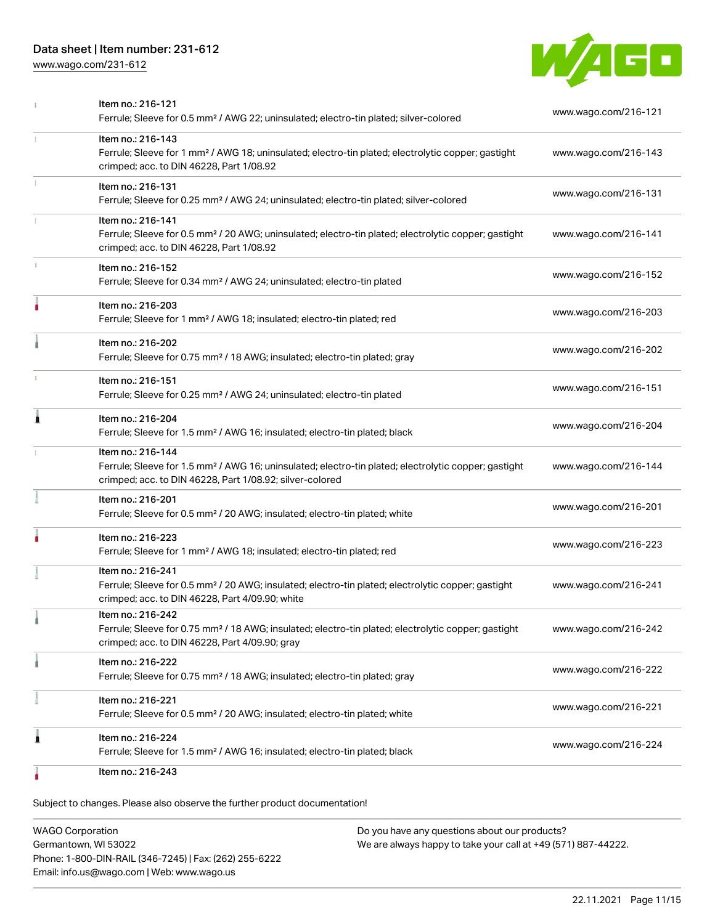[www.wago.com/231-612](http://www.wago.com/231-612)



|   | Item no.: 216-121<br>Ferrule; Sleeve for 0.5 mm <sup>2</sup> / AWG 22; uninsulated; electro-tin plated; silver-colored                                                                            | www.wago.com/216-121 |
|---|---------------------------------------------------------------------------------------------------------------------------------------------------------------------------------------------------|----------------------|
| 1 | Item no.: 216-143<br>Ferrule; Sleeve for 1 mm <sup>2</sup> / AWG 18; uninsulated; electro-tin plated; electrolytic copper; gastight<br>crimped; acc. to DIN 46228, Part 1/08.92                   | www.wago.com/216-143 |
|   | Item no.: 216-131<br>Ferrule; Sleeve for 0.25 mm <sup>2</sup> / AWG 24; uninsulated; electro-tin plated; silver-colored                                                                           | www.wago.com/216-131 |
|   | Item no.: 216-141<br>Ferrule; Sleeve for 0.5 mm <sup>2</sup> / 20 AWG; uninsulated; electro-tin plated; electrolytic copper; gastight<br>crimped; acc. to DIN 46228, Part 1/08.92                 | www.wago.com/216-141 |
|   | Item no.: 216-152<br>Ferrule; Sleeve for 0.34 mm <sup>2</sup> / AWG 24; uninsulated; electro-tin plated                                                                                           | www.wago.com/216-152 |
|   | Item no.: 216-203<br>Ferrule; Sleeve for 1 mm <sup>2</sup> / AWG 18; insulated; electro-tin plated; red                                                                                           | www.wago.com/216-203 |
|   | Item no.: 216-202<br>Ferrule; Sleeve for 0.75 mm <sup>2</sup> / 18 AWG; insulated; electro-tin plated; gray                                                                                       | www.wago.com/216-202 |
|   | Item no.: 216-151<br>Ferrule; Sleeve for 0.25 mm <sup>2</sup> / AWG 24; uninsulated; electro-tin plated                                                                                           | www.wago.com/216-151 |
| Ă | Item no.: 216-204<br>Ferrule; Sleeve for 1.5 mm <sup>2</sup> / AWG 16; insulated; electro-tin plated; black                                                                                       | www.wago.com/216-204 |
|   | Item no.: 216-144<br>Ferrule; Sleeve for 1.5 mm <sup>2</sup> / AWG 16; uninsulated; electro-tin plated; electrolytic copper; gastight<br>crimped; acc. to DIN 46228, Part 1/08.92; silver-colored | www.wago.com/216-144 |
|   | Item no.: 216-201<br>Ferrule; Sleeve for 0.5 mm <sup>2</sup> / 20 AWG; insulated; electro-tin plated; white                                                                                       | www.wago.com/216-201 |
|   | Item no.: 216-223<br>Ferrule; Sleeve for 1 mm <sup>2</sup> / AWG 18; insulated; electro-tin plated; red                                                                                           | www.wago.com/216-223 |
|   | Item no.: 216-241<br>Ferrule; Sleeve for 0.5 mm <sup>2</sup> / 20 AWG; insulated; electro-tin plated; electrolytic copper; gastight<br>crimped; acc. to DIN 46228, Part 4/09.90; white            | www.wago.com/216-241 |
|   | Item no.: 216-242<br>Ferrule; Sleeve for 0.75 mm <sup>2</sup> / 18 AWG; insulated; electro-tin plated; electrolytic copper; gastight<br>crimped; acc. to DIN 46228, Part 4/09.90; gray            | www.wago.com/216-242 |
|   | Item no.: 216-222<br>Ferrule; Sleeve for 0.75 mm <sup>2</sup> / 18 AWG; insulated; electro-tin plated; gray                                                                                       | www.wago.com/216-222 |
|   | Item no.: 216-221<br>Ferrule; Sleeve for 0.5 mm <sup>2</sup> / 20 AWG; insulated; electro-tin plated; white                                                                                       | www.wago.com/216-221 |
| 1 | Item no.: 216-224<br>Ferrule; Sleeve for 1.5 mm <sup>2</sup> / AWG 16; insulated; electro-tin plated; black                                                                                       | www.wago.com/216-224 |
|   | Item no.: 216-243                                                                                                                                                                                 |                      |

Subject to changes. Please also observe the further product documentation!

WAGO Corporation Germantown, WI 53022 Phone: 1-800-DIN-RAIL (346-7245) | Fax: (262) 255-6222 Email: info.us@wago.com | Web: www.wago.us Do you have any questions about our products? We are always happy to take your call at +49 (571) 887-44222.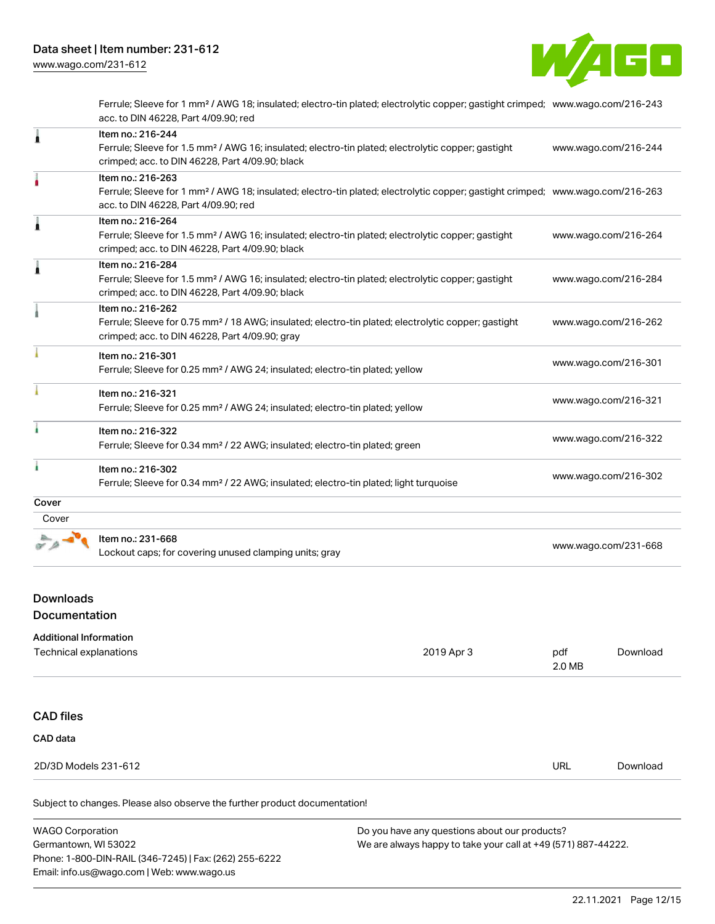

Ferrule; Sleeve for 1 mm² / AWG 18; insulated; electro-tin plated; electrolytic copper; gastight crimped; [www.wago.com/216-243](http://www.wago.com/216-243) acc. to DIN 46228, Part 4/09.90; red

| 1     | Item no.: 216-244                                                                                                                          |                      |
|-------|--------------------------------------------------------------------------------------------------------------------------------------------|----------------------|
|       | Ferrule; Sleeve for 1.5 mm <sup>2</sup> / AWG 16; insulated; electro-tin plated; electrolytic copper; gastight                             | www.wago.com/216-244 |
|       | crimped; acc. to DIN 46228, Part 4/09.90; black                                                                                            |                      |
|       | Item no.: 216-263                                                                                                                          |                      |
|       | Ferrule; Sleeve for 1 mm <sup>2</sup> / AWG 18; insulated; electro-tin plated; electrolytic copper; gastight crimped; www.wago.com/216-263 |                      |
|       | acc. to DIN 46228, Part 4/09.90; red                                                                                                       |                      |
| Ă     | Item no.: 216-264                                                                                                                          |                      |
|       | Ferrule; Sleeve for 1.5 mm <sup>2</sup> / AWG 16; insulated; electro-tin plated; electrolytic copper; gastight                             | www.wago.com/216-264 |
|       | crimped; acc. to DIN 46228, Part 4/09.90; black                                                                                            |                      |
| Â     | Item no.: 216-284                                                                                                                          |                      |
|       | Ferrule; Sleeve for 1.5 mm <sup>2</sup> / AWG 16; insulated; electro-tin plated; electrolytic copper; gastight                             | www.wago.com/216-284 |
|       | crimped; acc. to DIN 46228, Part 4/09.90; black                                                                                            |                      |
|       | Item no.: 216-262                                                                                                                          |                      |
|       | Ferrule; Sleeve for 0.75 mm <sup>2</sup> / 18 AWG; insulated; electro-tin plated; electrolytic copper; gastight                            | www.wago.com/216-262 |
|       | crimped; acc. to DIN 46228, Part 4/09.90; gray                                                                                             |                      |
|       | Item no.: 216-301                                                                                                                          |                      |
|       | Ferrule; Sleeve for 0.25 mm <sup>2</sup> / AWG 24; insulated; electro-tin plated; yellow                                                   | www.wago.com/216-301 |
|       | Item no.: 216-321                                                                                                                          |                      |
|       | Ferrule; Sleeve for 0.25 mm <sup>2</sup> / AWG 24; insulated; electro-tin plated; yellow                                                   | www.wago.com/216-321 |
| ۸     | Item no.: 216-322                                                                                                                          |                      |
|       | Ferrule; Sleeve for 0.34 mm <sup>2</sup> / 22 AWG; insulated; electro-tin plated; green                                                    | www.wago.com/216-322 |
|       | Item no.: 216-302                                                                                                                          |                      |
|       | Ferrule; Sleeve for 0.34 mm <sup>2</sup> / 22 AWG; insulated; electro-tin plated; light turquoise                                          | www.wago.com/216-302 |
| Cover |                                                                                                                                            |                      |
| Cover |                                                                                                                                            |                      |
|       | Item no.: 231-668                                                                                                                          |                      |
|       | Lockout caps; for covering unused clamping units; gray                                                                                     | www.wago.com/231-668 |

# Downloads

Documentation

| <b>Additional Information</b><br>Technical explanations                    | 2019 Apr 3 | pdf<br>2.0 MB | Download |
|----------------------------------------------------------------------------|------------|---------------|----------|
| <b>CAD files</b><br>CAD data                                               |            |               |          |
| 2D/3D Models 231-612                                                       |            | <b>URL</b>    | Download |
| Subject to changes. Please also observe the further product documentation! |            |               |          |

| <b>WAGO Corporation</b>                                | Do you have any questions about our products?                 |  |
|--------------------------------------------------------|---------------------------------------------------------------|--|
| Germantown, WI 53022                                   | We are always happy to take your call at +49 (571) 887-44222. |  |
| Phone: 1-800-DIN-RAIL (346-7245)   Fax: (262) 255-6222 |                                                               |  |
| Email: info.us@wago.com   Web: www.wago.us             |                                                               |  |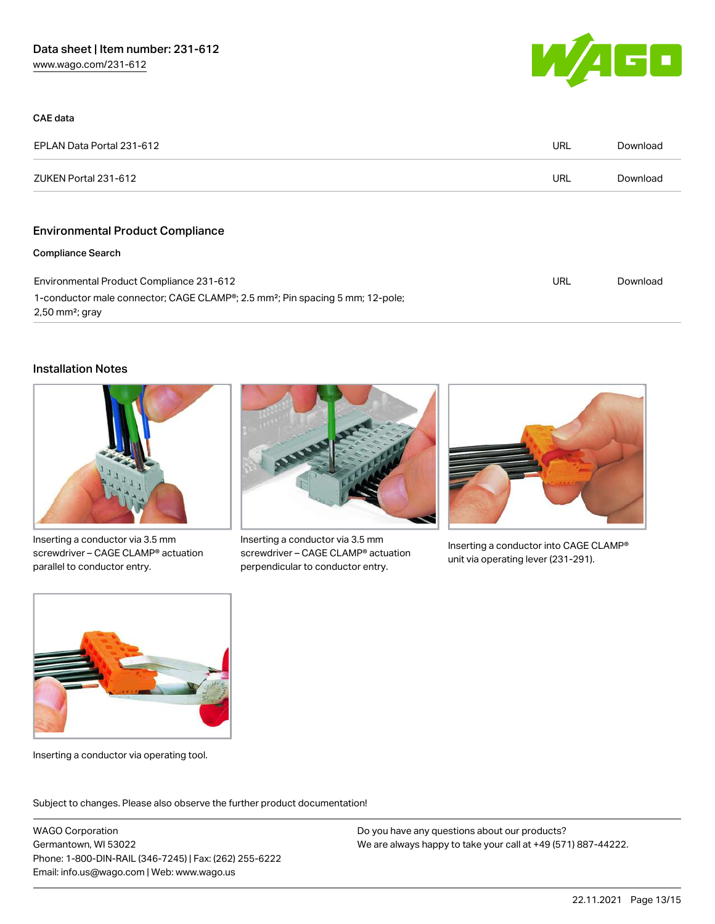

| CAE data                                                                                                                   |     |          |
|----------------------------------------------------------------------------------------------------------------------------|-----|----------|
| EPLAN Data Portal 231-612                                                                                                  | URL | Download |
| ZUKEN Portal 231-612                                                                                                       | URL | Download |
|                                                                                                                            |     |          |
| <b>Environmental Product Compliance</b>                                                                                    |     |          |
| <b>Compliance Search</b>                                                                                                   |     |          |
| Environmental Product Compliance 231-612                                                                                   | URL | Download |
| 1-conductor male connector; CAGE CLAMP®; 2.5 mm <sup>2</sup> ; Pin spacing 5 mm; 12-pole;<br>$2,50$ mm <sup>2</sup> ; gray |     |          |

#### Installation Notes



Inserting a conductor via 3.5 mm screwdriver – CAGE CLAMP® actuation parallel to conductor entry.



Inserting a conductor via 3.5 mm screwdriver – CAGE CLAMP® actuation perpendicular to conductor entry.



Inserting a conductor into CAGE CLAMP® unit via operating lever (231-291).



Inserting a conductor via operating tool.

Subject to changes. Please also observe the further product documentation!

WAGO Corporation Germantown, WI 53022 Phone: 1-800-DIN-RAIL (346-7245) | Fax: (262) 255-6222 Email: info.us@wago.com | Web: www.wago.us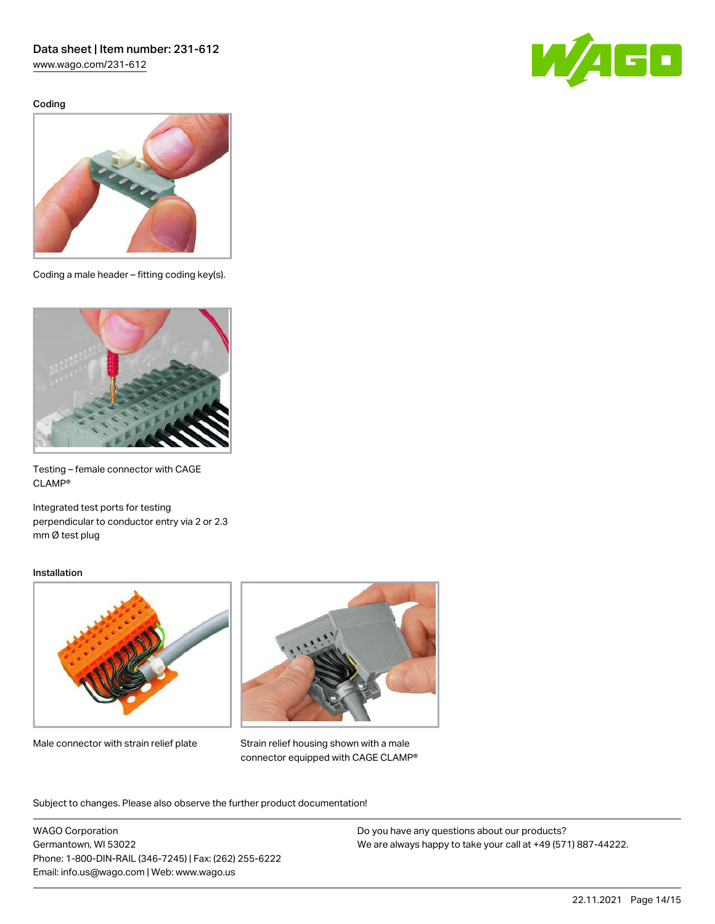[www.wago.com/231-612](http://www.wago.com/231-612)

Coding





Coding a male header – fitting coding key(s).



Testing – female connector with CAGE CLAMP®

Integrated test ports for testing perpendicular to conductor entry via 2 or 2.3 mm Ø test plug

#### Installation



Male connector with strain relief plate



Strain relief housing shown with a male connector equipped with CAGE CLAMP®

Subject to changes. Please also observe the further product documentation!

WAGO Corporation Germantown, WI 53022 Phone: 1-800-DIN-RAIL (346-7245) | Fax: (262) 255-6222 Email: info.us@wago.com | Web: www.wago.us